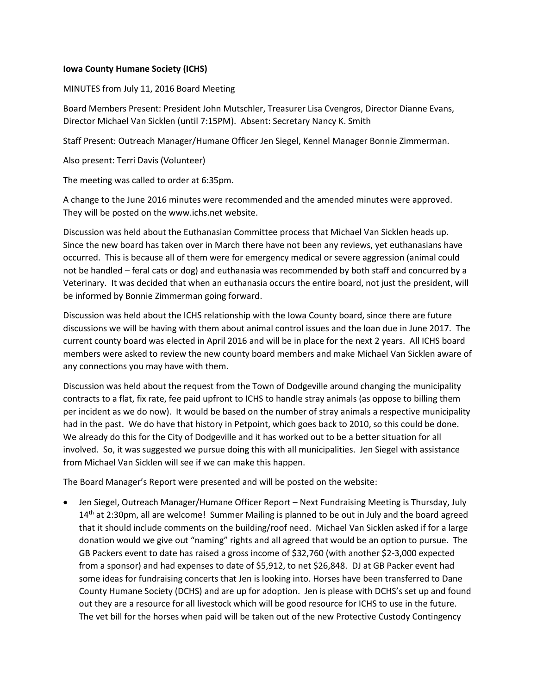## **Iowa County Humane Society (ICHS)**

MINUTES from July 11, 2016 Board Meeting

Board Members Present: President John Mutschler, Treasurer Lisa Cvengros, Director Dianne Evans, Director Michael Van Sicklen (until 7:15PM). Absent: Secretary Nancy K. Smith

Staff Present: Outreach Manager/Humane Officer Jen Siegel, Kennel Manager Bonnie Zimmerman.

Also present: Terri Davis (Volunteer)

The meeting was called to order at 6:35pm.

A change to the June 2016 minutes were recommended and the amended minutes were approved. They will be posted on the www.ichs.net website.

Discussion was held about the Euthanasian Committee process that Michael Van Sicklen heads up. Since the new board has taken over in March there have not been any reviews, yet euthanasians have occurred. This is because all of them were for emergency medical or severe aggression (animal could not be handled – feral cats or dog) and euthanasia was recommended by both staff and concurred by a Veterinary. It was decided that when an euthanasia occurs the entire board, not just the president, will be informed by Bonnie Zimmerman going forward.

Discussion was held about the ICHS relationship with the Iowa County board, since there are future discussions we will be having with them about animal control issues and the loan due in June 2017. The current county board was elected in April 2016 and will be in place for the next 2 years. All ICHS board members were asked to review the new county board members and make Michael Van Sicklen aware of any connections you may have with them.

Discussion was held about the request from the Town of Dodgeville around changing the municipality contracts to a flat, fix rate, fee paid upfront to ICHS to handle stray animals (as oppose to billing them per incident as we do now). It would be based on the number of stray animals a respective municipality had in the past. We do have that history in Petpoint, which goes back to 2010, so this could be done. We already do this for the City of Dodgeville and it has worked out to be a better situation for all involved. So, it was suggested we pursue doing this with all municipalities. Jen Siegel with assistance from Michael Van Sicklen will see if we can make this happen.

The Board Manager's Report were presented and will be posted on the website:

 Jen Siegel, Outreach Manager/Humane Officer Report – Next Fundraising Meeting is Thursday, July  $14<sup>th</sup>$  at 2:30pm, all are welcome! Summer Mailing is planned to be out in July and the board agreed that it should include comments on the building/roof need. Michael Van Sicklen asked if for a large donation would we give out "naming" rights and all agreed that would be an option to pursue. The GB Packers event to date has raised a gross income of \$32,760 (with another \$2-3,000 expected from a sponsor) and had expenses to date of \$5,912, to net \$26,848. DJ at GB Packer event had some ideas for fundraising concerts that Jen is looking into. Horses have been transferred to Dane County Humane Society (DCHS) and are up for adoption. Jen is please with DCHS's set up and found out they are a resource for all livestock which will be good resource for ICHS to use in the future. The vet bill for the horses when paid will be taken out of the new Protective Custody Contingency